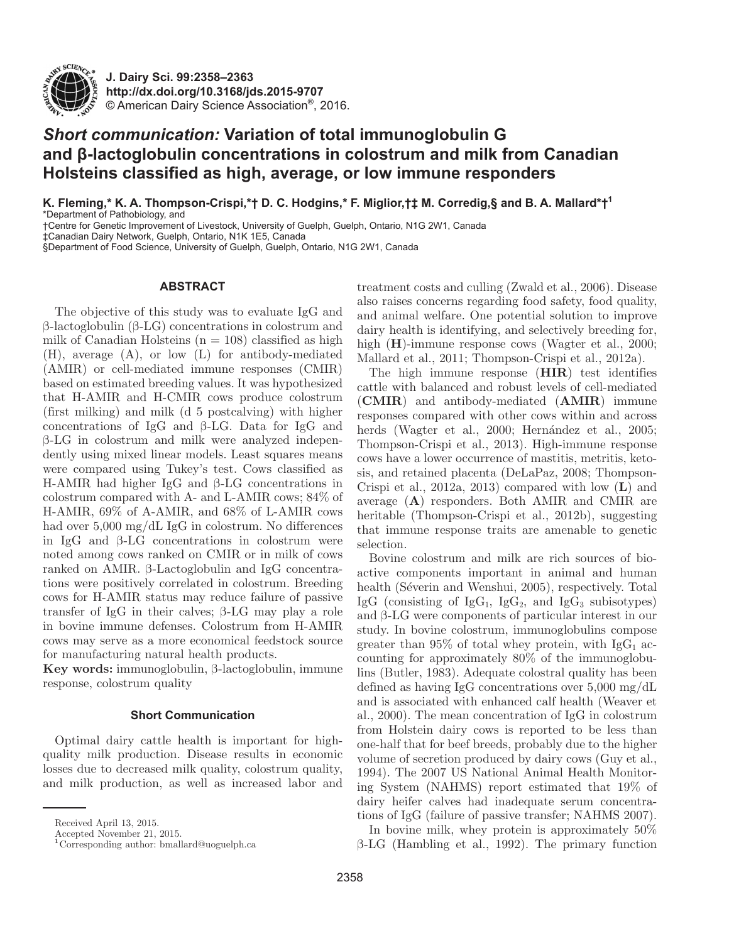

**J. Dairy Sci. 99:2358–2363 http://dx.doi.org/10.3168/jds.2015-9707** © American Dairy Science Association®, 2016.

# *Short communication:* **Variation of total immunoglobulin G**  and β-lactoglobulin concentrations in colostrum and milk from Canadian **Holsteins classified as high, average, or low immune responders**

**K. Fleming,\* K. A. Thompson-Crispi,\*† D. C. Hodgins,\* F. Miglior,†‡ M. Corredig,§ and B. A. Mallard\*†1**

\*Department of Pathobiology, and

†Centre for Genetic Improvement of Livestock, University of Guelph, Guelph, Ontario, N1G 2W1, Canada ‡Canadian Dairy Network, Guelph, Ontario, N1K 1E5, Canada

§Department of Food Science, University of Guelph, Guelph, Ontario, N1G 2W1, Canada

## **ABSTRACT**

The objective of this study was to evaluate IgG and β-lactoglobulin (β-LG) concentrations in colostrum and milk of Canadian Holsteins  $(n = 108)$  classified as high (H), average (A), or low (L) for antibody-mediated (AMIR) or cell-mediated immune responses (CMIR) based on estimated breeding values. It was hypothesized that H-AMIR and H-CMIR cows produce colostrum (first milking) and milk (d 5 postcalving) with higher concentrations of IgG and β-LG. Data for IgG and β-LG in colostrum and milk were analyzed independently using mixed linear models. Least squares means were compared using Tukey's test. Cows classified as H-AMIR had higher IgG and β-LG concentrations in colostrum compared with A- and L-AMIR cows; 84% of H-AMIR, 69% of A-AMIR, and 68% of L-AMIR cows had over 5,000 mg/dL IgG in colostrum. No differences in IgG and β-LG concentrations in colostrum were noted among cows ranked on CMIR or in milk of cows ranked on AMIR. β-Lactoglobulin and IgG concentrations were positively correlated in colostrum. Breeding cows for H-AMIR status may reduce failure of passive transfer of IgG in their calves; β-LG may play a role in bovine immune defenses. Colostrum from H-AMIR cows may serve as a more economical feedstock source for manufacturing natural health products.

**Key words:** immunoglobulin, β-lactoglobulin, immune response, colostrum quality

### **Short Communication**

Optimal dairy cattle health is important for highquality milk production. Disease results in economic losses due to decreased milk quality, colostrum quality, and milk production, as well as increased labor and treatment costs and culling (Zwald et al., 2006). Disease also raises concerns regarding food safety, food quality, and animal welfare. One potential solution to improve dairy health is identifying, and selectively breeding for, high (**H**)-immune response cows (Wagter et al., 2000; Mallard et al., 2011; Thompson-Crispi et al., 2012a).

The high immune response (**HIR**) test identifies cattle with balanced and robust levels of cell-mediated (**CMIR**) and antibody-mediated (**AMIR**) immune responses compared with other cows within and across herds (Wagter et al., 2000; Hernández et al., 2005; Thompson-Crispi et al., 2013). High-immune response cows have a lower occurrence of mastitis, metritis, ketosis, and retained placenta (DeLaPaz, 2008; Thompson-Crispi et al., 2012a, 2013) compared with low (**L**) and average (**A**) responders. Both AMIR and CMIR are heritable (Thompson-Crispi et al., 2012b), suggesting that immune response traits are amenable to genetic selection.

Bovine colostrum and milk are rich sources of bioactive components important in animal and human health (Séverin and Wenshui, 2005), respectively. Total IgG (consisting of IgG<sub>1</sub>, IgG<sub>2</sub>, and IgG<sub>3</sub> subisotypes) and β-LG were components of particular interest in our study. In bovine colostrum, immunoglobulins compose greater than 95% of total whey protein, with  $\text{IgG}_1$  accounting for approximately 80% of the immunoglobulins (Butler, 1983). Adequate colostral quality has been defined as having IgG concentrations over 5,000 mg/dL and is associated with enhanced calf health (Weaver et al., 2000). The mean concentration of IgG in colostrum from Holstein dairy cows is reported to be less than one-half that for beef breeds, probably due to the higher volume of secretion produced by dairy cows (Guy et al., 1994). The 2007 US National Animal Health Monitoring System (NAHMS) report estimated that 19% of dairy heifer calves had inadequate serum concentrations of IgG (failure of passive transfer; NAHMS 2007).

In bovine milk, whey protein is approximately 50% β-LG (Hambling et al., 1992). The primary function

Received April 13, 2015.

Accepted November 21, 2015.

**<sup>1</sup>**Corresponding author: bmallard@uoguelph.ca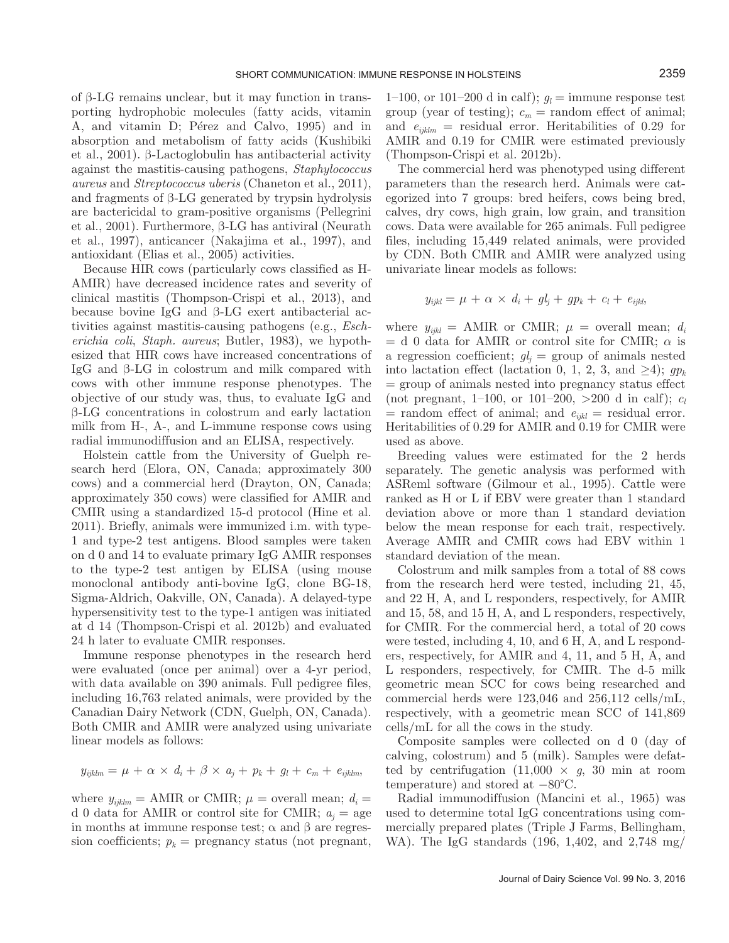of β-LG remains unclear, but it may function in transporting hydrophobic molecules (fatty acids, vitamin A, and vitamin D; Pérez and Calvo, 1995) and in absorption and metabolism of fatty acids (Kushibiki et al., 2001). β-Lactoglobulin has antibacterial activity against the mastitis-causing pathogens, *Staphylococcus aureus* and *Streptococcus uberis* (Chaneton et al., 2011), and fragments of β-LG generated by trypsin hydrolysis are bactericidal to gram-positive organisms (Pellegrini et al., 2001). Furthermore, β-LG has antiviral (Neurath et al., 1997), anticancer (Nakajima et al., 1997), and antioxidant (Elias et al., 2005) activities.

Because HIR cows (particularly cows classified as H-AMIR) have decreased incidence rates and severity of clinical mastitis (Thompson-Crispi et al., 2013), and because bovine IgG and β-LG exert antibacterial activities against mastitis-causing pathogens (e.g., *Escherichia coli*, *Staph. aureus*; Butler, 1983), we hypothesized that HIR cows have increased concentrations of IgG and β-LG in colostrum and milk compared with cows with other immune response phenotypes. The objective of our study was, thus, to evaluate IgG and β-LG concentrations in colostrum and early lactation milk from H-, A-, and L-immune response cows using radial immunodiffusion and an ELISA, respectively.

Holstein cattle from the University of Guelph research herd (Elora, ON, Canada; approximately 300 cows) and a commercial herd (Drayton, ON, Canada; approximately 350 cows) were classified for AMIR and CMIR using a standardized 15-d protocol (Hine et al. 2011). Briefly, animals were immunized i.m. with type-1 and type-2 test antigens. Blood samples were taken on d 0 and 14 to evaluate primary IgG AMIR responses to the type-2 test antigen by ELISA (using mouse monoclonal antibody anti-bovine IgG, clone BG-18, Sigma-Aldrich, Oakville, ON, Canada). A delayed-type hypersensitivity test to the type-1 antigen was initiated at d 14 (Thompson-Crispi et al. 2012b) and evaluated 24 h later to evaluate CMIR responses.

Immune response phenotypes in the research herd were evaluated (once per animal) over a 4-yr period, with data available on 390 animals. Full pedigree files, including 16,763 related animals, were provided by the Canadian Dairy Network (CDN, Guelph, ON, Canada). Both CMIR and AMIR were analyzed using univariate linear models as follows:

$$
y_{ijklm} = \mu + \alpha \times d_i + \beta \times a_j + p_k + g_l + c_m + e_{ijklm},
$$

where  $y_{ijklm} = AMIR$  or CMIR;  $\mu$  = overall mean;  $d_i$  = d 0 data for AMIR or control site for CMIR;  $a_i = \text{age}$ in months at immune response test;  $\alpha$  and  $\beta$  are regression coefficients;  $p_k$  = pregnancy status (not pregnant,

1–100, or 101–200 d in calf);  $g_l = \text{immune response test}$ group (year of testing);  $c_m$  = random effect of animal; and  $e_{ijklm}$  = residual error. Heritabilities of 0.29 for AMIR and 0.19 for CMIR were estimated previously (Thompson-Crispi et al. 2012b).

The commercial herd was phenotyped using different parameters than the research herd. Animals were categorized into 7 groups: bred heifers, cows being bred, calves, dry cows, high grain, low grain, and transition cows. Data were available for 265 animals. Full pedigree files, including 15,449 related animals, were provided by CDN. Both CMIR and AMIR were analyzed using univariate linear models as follows:

$$
y_{ijkl} = \mu + \alpha \times d_i + gl_j + gp_k + c_l + e_{ijkl},
$$

where  $y_{ijkl}$  = AMIR or CMIR;  $\mu$  = overall mean;  $d_i$ = d 0 data for AMIR or control site for CMIR; *α* is a regression coefficient;  $q_l$  = group of animals nested into lactation effect (lactation 0, 1, 2, 3, and  $\geq 4$ );  $qp_k$ = group of animals nested into pregnancy status effect (not pregnant,  $1-100$ , or  $101-200$ ,  $>200$  d in calf);  $c_l$  $=$  random effect of animal; and  $e_{ijkl}$  = residual error. Heritabilities of 0.29 for AMIR and 0.19 for CMIR were used as above.

Breeding values were estimated for the 2 herds separately. The genetic analysis was performed with ASReml software (Gilmour et al., 1995). Cattle were ranked as H or L if EBV were greater than 1 standard deviation above or more than 1 standard deviation below the mean response for each trait, respectively. Average AMIR and CMIR cows had EBV within 1 standard deviation of the mean.

Colostrum and milk samples from a total of 88 cows from the research herd were tested, including 21, 45, and 22 H, A, and L responders, respectively, for AMIR and 15, 58, and 15 H, A, and L responders, respectively, for CMIR. For the commercial herd, a total of 20 cows were tested, including 4, 10, and 6 H, A, and L responders, respectively, for AMIR and 4, 11, and 5 H, A, and L responders, respectively, for CMIR. The d-5 milk geometric mean SCC for cows being researched and commercial herds were 123,046 and 256,112 cells/mL, respectively, with a geometric mean SCC of 141,869 cells/mL for all the cows in the study.

Composite samples were collected on d 0 (day of calving, colostrum) and 5 (milk). Samples were defatted by centrifugation  $(11,000 \times g, 30 \text{ min at room})$ temperature) and stored at −80°C.

Radial immunodiffusion (Mancini et al., 1965) was used to determine total IgG concentrations using commercially prepared plates (Triple J Farms, Bellingham, WA). The IgG standards (196, 1,402, and 2,748 mg/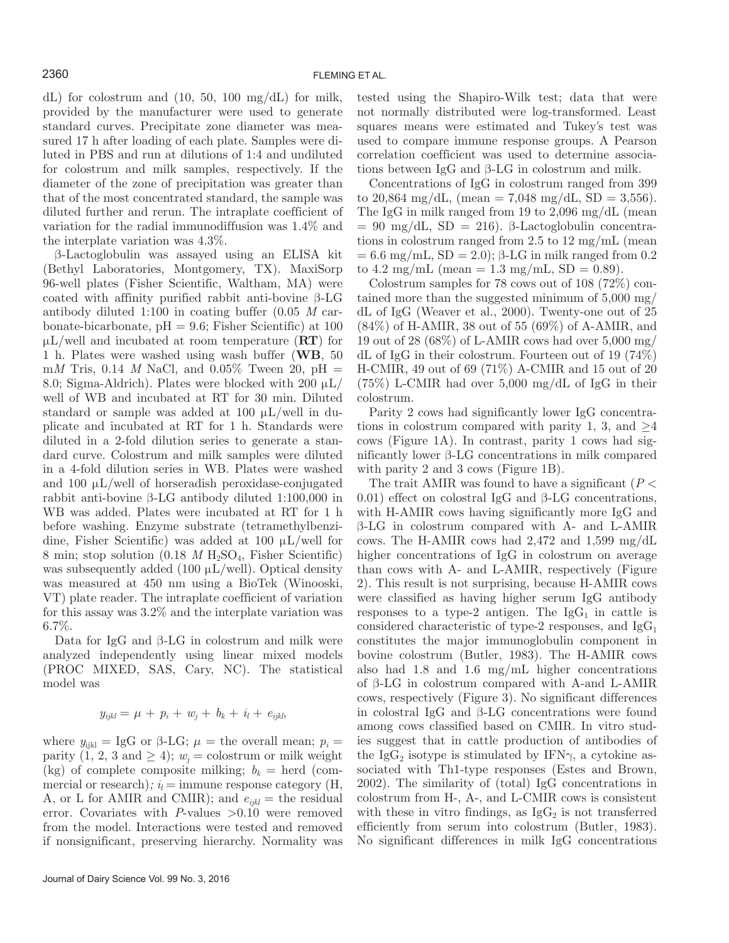dL) for colostrum and (10, 50, 100 mg/dL) for milk, provided by the manufacturer were used to generate standard curves. Precipitate zone diameter was measured 17 h after loading of each plate. Samples were diluted in PBS and run at dilutions of 1:4 and undiluted for colostrum and milk samples, respectively. If the diameter of the zone of precipitation was greater than that of the most concentrated standard, the sample was diluted further and rerun. The intraplate coefficient of variation for the radial immunodiffusion was 1.4% and the interplate variation was 4.3%.

β-Lactoglobulin was assayed using an ELISA kit (Bethyl Laboratories, Montgomery, TX). MaxiSorp 96-well plates (Fisher Scientific, Waltham, MA) were coated with affinity purified rabbit anti-bovine β-LG antibody diluted 1:100 in coating buffer (0.05 *M* carbonate-bicarbonate,  $pH = 9.6$ ; Fisher Scientific) at 100 μL/well and incubated at room temperature (**RT**) for 1 h. Plates were washed using wash buffer (**WB**, 50  $mM$  Tris, 0.14 *M* NaCl, and 0.05\% Tween 20, pH = 8.0; Sigma-Aldrich). Plates were blocked with 200  $\mu$ L/ well of WB and incubated at RT for 30 min. Diluted standard or sample was added at 100  $\mu$ L/well in duplicate and incubated at RT for 1 h. Standards were diluted in a 2-fold dilution series to generate a standard curve. Colostrum and milk samples were diluted in a 4-fold dilution series in WB. Plates were washed and 100 μL/well of horseradish peroxidase-conjugated rabbit anti-bovine β-LG antibody diluted 1:100,000 in WB was added. Plates were incubated at RT for 1 h before washing. Enzyme substrate (tetramethylbenzidine, Fisher Scientific) was added at 100  $\mu$ L/well for 8 min; stop solution (0.18 *M* H<sub>2</sub>SO<sub>4</sub>, Fisher Scientific) was subsequently added (100  $\mu$ L/well). Optical density was measured at 450 nm using a BioTek (Winooski, VT) plate reader. The intraplate coefficient of variation for this assay was 3.2% and the interplate variation was 6.7%.

Data for IgG and β-LG in colostrum and milk were analyzed independently using linear mixed models (PROC MIXED, SAS, Cary, NC). The statistical model was

$$
y_{ijkl} = \mu + p_i + w_j + b_k + i_l + e_{ijkl},
$$

where  $y_{ijkl} = IgG$  or  $\beta$ -LG;  $\mu$  = the overall mean;  $p_i$  = parity  $(1, 2, 3 \text{ and } \geq 4)$ ;  $w_i = \text{colorturn or milk weight}$ (kg) of complete composite milking;  $b_k = \text{herd}$  (commercial or research);  $i_l$  = immune response category (H, A, or L for AMIR and CMIR); and  $e_{ijkl}$  = the residual error. Covariates with *P*-values >0.10 were removed from the model. Interactions were tested and removed if nonsignificant, preserving hierarchy. Normality was tested using the Shapiro-Wilk test; data that were not normally distributed were log-transformed. Least squares means were estimated and Tukey's test was used to compare immune response groups. A Pearson correlation coefficient was used to determine associations between IgG and β-LG in colostrum and milk.

Concentrations of IgG in colostrum ranged from 399 to 20,864 mg/dL, (mean = 7,048 mg/dL, SD = 3,556). The IgG in milk ranged from 19 to 2,096 mg/dL (mean  $= 90$  mg/dL, SD  $= 216$ ). β-Lactoglobulin concentrations in colostrum ranged from 2.5 to 12 mg/mL (mean  $= 6.6$  mg/mL, SD  $= 2.0$ ;  $\beta$ -LG in milk ranged from 0.2 to 4.2 mg/mL (mean = 1.3 mg/mL, SD = 0.89).

Colostrum samples for 78 cows out of 108 (72%) contained more than the suggested minimum of 5,000 mg/ dL of IgG (Weaver et al., 2000). Twenty-one out of 25 (84%) of H-AMIR, 38 out of 55 (69%) of A-AMIR, and 19 out of 28 (68%) of L-AMIR cows had over 5,000 mg/ dL of IgG in their colostrum. Fourteen out of 19 (74%) H-CMIR, 49 out of 69 (71%) A-CMIR and 15 out of 20 (75%) L-CMIR had over 5,000 mg/dL of IgG in their colostrum.

Parity 2 cows had significantly lower IgG concentrations in colostrum compared with parity 1, 3, and  $\geq 4$ cows (Figure 1A). In contrast, parity 1 cows had significantly lower β-LG concentrations in milk compared with parity 2 and 3 cows (Figure 1B).

The trait AMIR was found to have a significant (*P* < 0.01) effect on colostral IgG and β-LG concentrations, with H-AMIR cows having significantly more IgG and β-LG in colostrum compared with A- and L-AMIR cows. The H-AMIR cows had 2,472 and 1,599 mg/dL higher concentrations of IgG in colostrum on average than cows with A- and L-AMIR, respectively (Figure 2). This result is not surprising, because H-AMIR cows were classified as having higher serum IgG antibody responses to a type-2 antigen. The  $\lg G_1$  in cattle is considered characteristic of type-2 responses, and  $\text{IgG}_1$ constitutes the major immunoglobulin component in bovine colostrum (Butler, 1983). The H-AMIR cows also had 1.8 and 1.6 mg/mL higher concentrations of β-LG in colostrum compared with A-and L-AMIR cows, respectively (Figure 3). No significant differences in colostral IgG and β-LG concentrations were found among cows classified based on CMIR. In vitro studies suggest that in cattle production of antibodies of the IgG<sub>2</sub> isotype is stimulated by IFN $\gamma$ , a cytokine associated with Th1-type responses (Estes and Brown, 2002). The similarity of (total) IgG concentrations in colostrum from H-, A-, and L-CMIR cows is consistent with these in vitro findings, as  $IgG_2$  is not transferred efficiently from serum into colostrum (Butler, 1983). No significant differences in milk IgG concentrations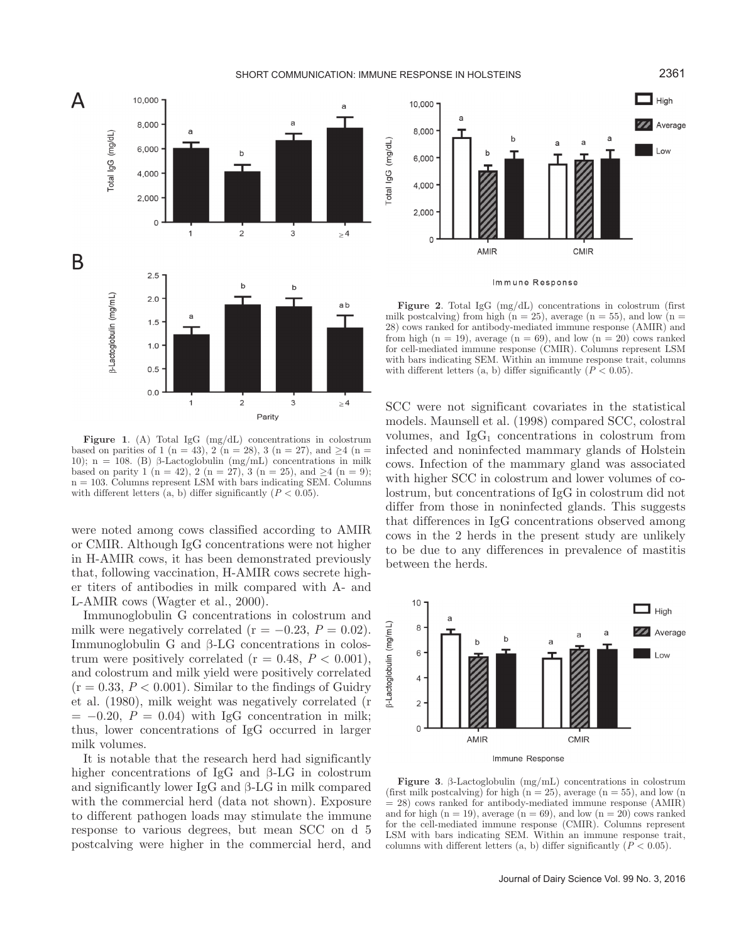SHORT COMMUNICATION: IMMUNE RESPONSE IN HOLSTEINS 2361



**Figure 1**. (A) Total IgG (mg/dL) concentrations in colostrum based on parities of 1 (n = 43), 2 (n = 28), 3 (n = 27), and >4 (n = 10); n = 108. (B) β-Lactoglobulin (mg/mL) concentrations in milk based on parity 1 (n = 42), 2 (n = 27), 3 (n = 25), and  $\geq 4$  (n = 9); n = 103. Columns represent LSM with bars indicating SEM. Columns with different letters  $(a, b)$  differ significantly  $(P < 0.05)$ .

were noted among cows classified according to AMIR or CMIR. Although IgG concentrations were not higher in H-AMIR cows, it has been demonstrated previously that, following vaccination, H-AMIR cows secrete higher titers of antibodies in milk compared with A- and L-AMIR cows (Wagter et al., 2000).

Immunoglobulin G concentrations in colostrum and milk were negatively correlated ( $r = -0.23$ ,  $P = 0.02$ ). Immunoglobulin G and β-LG concentrations in colostrum were positively correlated ( $r = 0.48, P < 0.001$ ), and colostrum and milk yield were positively correlated  $(r = 0.33, P < 0.001)$ . Similar to the findings of Guidry et al. (1980), milk weight was negatively correlated (r  $= -0.20$ ,  $P = 0.04$ ) with IgG concentration in milk; thus, lower concentrations of IgG occurred in larger milk volumes.

It is notable that the research herd had significantly higher concentrations of IgG and β-LG in colostrum and significantly lower IgG and β-LG in milk compared with the commercial herd (data not shown). Exposure to different pathogen loads may stimulate the immune response to various degrees, but mean SCC on d 5 postcalving were higher in the commercial herd, and



Immune Response

**Figure 2**. Total IgG (mg/dL) concentrations in colostrum (first milk postcalving) from high ( $n = 25$ ), average ( $n = 55$ ), and low ( $n =$ 28) cows ranked for antibody-mediated immune response (AMIR) and from high  $(n = 19)$ , average  $(n = 69)$ , and low  $(n = 20)$  cows ranked for cell-mediated immune response (CMIR). Columns represent LSM with bars indicating SEM. Within an immune response trait, columns with different letters  $(a, b)$  differ significantly  $(P < 0.05)$ .

SCC were not significant covariates in the statistical models. Maunsell et al. (1998) compared SCC, colostral volumes, and  $IgG_1$  concentrations in colostrum from infected and noninfected mammary glands of Holstein cows. Infection of the mammary gland was associated with higher SCC in colostrum and lower volumes of colostrum, but concentrations of IgG in colostrum did not differ from those in noninfected glands. This suggests that differences in IgG concentrations observed among cows in the 2 herds in the present study are unlikely to be due to any differences in prevalence of mastitis between the herds.



**Figure 3**. β-Lactoglobulin (mg/mL) concentrations in colostrum (first milk postcalving) for high  $(n = 25)$ , average  $(n = 55)$ , and low  $(n = 55)$ = 28) cows ranked for antibody-mediated immune response (AMIR) and for high  $(n = 19)$ , average  $(n = 69)$ , and low  $(n = 20)$  cows ranked for the cell-mediated immune response (CMIR). Columns represent LSM with bars indicating SEM. Within an immune response trait, columns with different letters  $(a, b)$  differ significantly  $(P < 0.05)$ .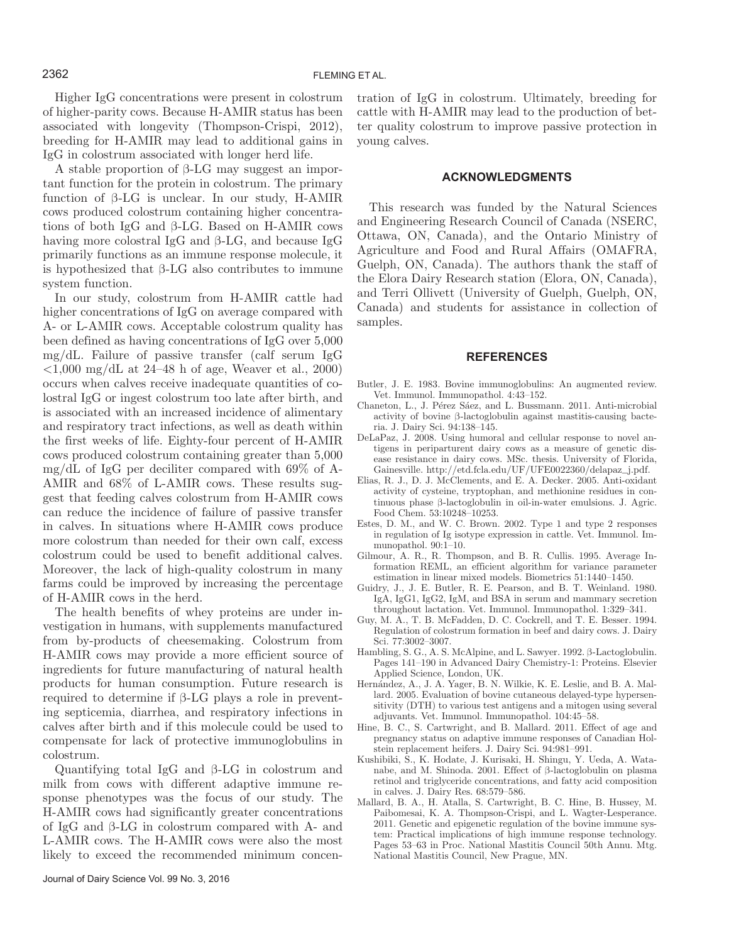Higher IgG concentrations were present in colostrum of higher-parity cows. Because H-AMIR status has been associated with longevity (Thompson-Crispi, 2012), breeding for H-AMIR may lead to additional gains in IgG in colostrum associated with longer herd life.

A stable proportion of β-LG may suggest an important function for the protein in colostrum. The primary function of β-LG is unclear. In our study, H-AMIR cows produced colostrum containing higher concentrations of both IgG and β-LG. Based on H-AMIR cows having more colostral IgG and β-LG, and because IgG primarily functions as an immune response molecule, it is hypothesized that β-LG also contributes to immune system function.

In our study, colostrum from H-AMIR cattle had higher concentrations of IgG on average compared with A- or L-AMIR cows. Acceptable colostrum quality has been defined as having concentrations of IgG over 5,000 mg/dL. Failure of passive transfer (calf serum IgG  $\langle 1,000 \text{ mg/dL} \text{ at } 24-48 \text{ h of age},$  Weaver et al., 2000) occurs when calves receive inadequate quantities of colostral IgG or ingest colostrum too late after birth, and is associated with an increased incidence of alimentary and respiratory tract infections, as well as death within the first weeks of life. Eighty-four percent of H-AMIR cows produced colostrum containing greater than 5,000 mg/dL of IgG per deciliter compared with 69% of A-AMIR and 68% of L-AMIR cows. These results suggest that feeding calves colostrum from H-AMIR cows can reduce the incidence of failure of passive transfer in calves. In situations where H-AMIR cows produce more colostrum than needed for their own calf, excess colostrum could be used to benefit additional calves. Moreover, the lack of high-quality colostrum in many farms could be improved by increasing the percentage of H-AMIR cows in the herd.

The health benefits of whey proteins are under investigation in humans, with supplements manufactured from by-products of cheesemaking. Colostrum from H-AMIR cows may provide a more efficient source of ingredients for future manufacturing of natural health products for human consumption. Future research is required to determine if β-LG plays a role in preventing septicemia, diarrhea, and respiratory infections in calves after birth and if this molecule could be used to compensate for lack of protective immunoglobulins in colostrum.

Quantifying total IgG and β-LG in colostrum and milk from cows with different adaptive immune response phenotypes was the focus of our study. The H-AMIR cows had significantly greater concentrations of IgG and β-LG in colostrum compared with A- and L-AMIR cows. The H-AMIR cows were also the most likely to exceed the recommended minimum concentration of IgG in colostrum. Ultimately, breeding for cattle with H-AMIR may lead to the production of better quality colostrum to improve passive protection in young calves.

### **ACKNOWLEDGMENTS**

This research was funded by the Natural Sciences and Engineering Research Council of Canada (NSERC, Ottawa, ON, Canada), and the Ontario Ministry of Agriculture and Food and Rural Affairs (OMAFRA, Guelph, ON, Canada). The authors thank the staff of the Elora Dairy Research station (Elora, ON, Canada), and Terri Ollivett (University of Guelph, Guelph, ON, Canada) and students for assistance in collection of samples.

#### **REFERENCES**

- Butler, J. E. 1983. Bovine immunoglobulins: An augmented review. Vet. Immunol. Immunopathol. 4:43–152.
- Chaneton, L., J. Pérez Sáez, and L. Bussmann. 2011. Anti-microbial activity of bovine β-lactoglobulin against mastitis-causing bacteria. J. Dairy Sci. 94:138–145.
- DeLaPaz, J. 2008. Using humoral and cellular response to novel antigens in periparturent dairy cows as a measure of genetic disease resistance in dairy cows. MSc. thesis. University of Florida, Gainesville. http://etd.fcla.edu/UF/UFE0022360/delapaz\_j.pdf.
- Elias, R. J., D. J. McClements, and E. A. Decker. 2005. Anti-oxidant activity of cysteine, tryptophan, and methionine residues in continuous phase β-lactoglobulin in oil-in-water emulsions. J. Agric. Food Chem. 53:10248–10253.
- Estes, D. M., and W. C. Brown. 2002. Type 1 and type 2 responses in regulation of Ig isotype expression in cattle. Vet. Immunol. Immunopathol. 90:1–10.
- Gilmour, A. R., R. Thompson, and B. R. Cullis. 1995. Average Information REML, an efficient algorithm for variance parameter estimation in linear mixed models. Biometrics 51:1440–1450.
- Guidry, J., J. E. Butler, R. E. Pearson, and B. T. Weinland. 1980. IgA, IgG1, IgG2, IgM, and BSA in serum and mammary secretion throughout lactation. Vet. Immunol. Immunopathol. 1:329–341.
- Guy, M. A., T. B. McFadden, D. C. Cockrell, and T. E. Besser. 1994. Regulation of colostrum formation in beef and dairy cows. J. Dairy Sci. 77:3002–3007.
- Hambling, S. G., A. S. McAlpine, and L. Sawyer. 1992. β-Lactoglobulin. Pages 141–190 in Advanced Dairy Chemistry-1: Proteins. Elsevier Applied Science, London, UK.
- Hernández, A., J. A. Yager, B. N. Wilkie, K. E. Leslie, and B. A. Mallard. 2005. Evaluation of bovine cutaneous delayed-type hypersensitivity (DTH) to various test antigens and a mitogen using several adjuvants. Vet. Immunol. Immunopathol. 104:45–58.
- Hine, B. C., S. Cartwright, and B. Mallard. 2011. Effect of age and pregnancy status on adaptive immune responses of Canadian Holstein replacement heifers. J. Dairy Sci. 94:981–991.
- Kushibiki, S., K. Hodate, J. Kurisaki, H. Shingu, Y. Ueda, A. Watanabe, and M. Shinoda. 2001. Effect of β-lactoglobulin on plasma retinol and triglyceride concentrations, and fatty acid composition in calves. J. Dairy Res. 68:579–586.
- Mallard, B. A., H. Atalla, S. Cartwright, B. C. Hine, B. Hussey, M. Paibomesai, K. A. Thompson-Crispi, and L. Wagter-Lesperance. 2011. Genetic and epigenetic regulation of the bovine immune system: Practical implications of high immune response technology. Pages 53–63 in Proc. National Mastitis Council 50th Annu. Mtg. National Mastitis Council, New Prague, MN.